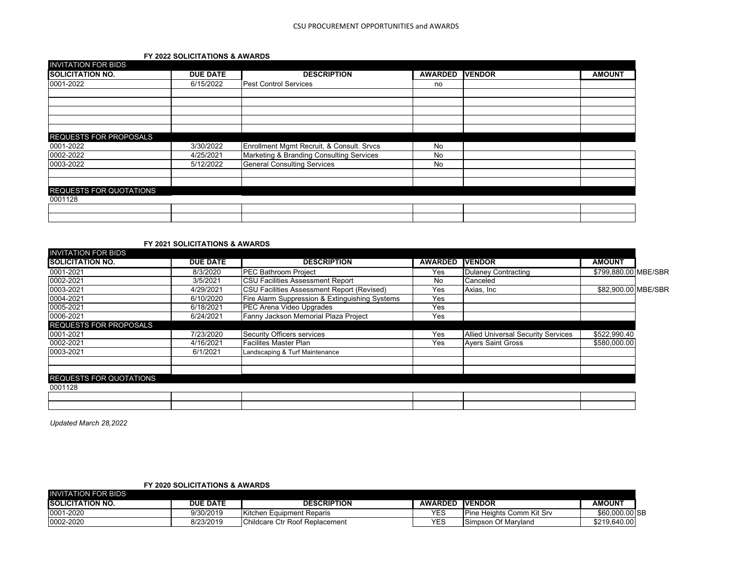## **FY 2022 SOLICITATIONS & AWARDS**

| INVITATION FOR BIDS<br><b>SOLICITATION NO.</b> | <b>DUE DATE</b> | <b>DESCRIPTION</b>                        | <b>AWARDED</b> | <b>IVENDOR</b> | <b>AMOUNT</b> |
|------------------------------------------------|-----------------|-------------------------------------------|----------------|----------------|---------------|
|                                                |                 |                                           |                |                |               |
| 0001-2022                                      | 6/15/2022       | <b>Pest Control Services</b>              | no             |                |               |
|                                                |                 |                                           |                |                |               |
|                                                |                 |                                           |                |                |               |
|                                                |                 |                                           |                |                |               |
|                                                |                 |                                           |                |                |               |
| <b>REQUESTS FOR PROPOSALS</b>                  |                 |                                           |                |                |               |
| 0001-2022                                      | 3/30/2022       | Enrollment Mgmt Recruit, & Consult. Srvcs | No             |                |               |
| 0002-2022                                      | 4/25/2021       | Marketing & Branding Consulting Services  | No             |                |               |
| 0003-2022                                      | 5/12/2022       | <b>General Consulting Services</b>        | No             |                |               |
|                                                |                 |                                           |                |                |               |
| <b>REQUESTS FOR QUOTATIONS</b>                 |                 |                                           |                |                |               |
| 0001128                                        |                 |                                           |                |                |               |
|                                                |                 |                                           |                |                |               |
|                                                |                 |                                           |                |                |               |

## **FY 2021 SOLICITATIONS & AWARDS**

| <b>INVITATION FOR BIDS</b>     |                 |                                                   |                |                                           |                      |  |
|--------------------------------|-----------------|---------------------------------------------------|----------------|-------------------------------------------|----------------------|--|
| <b>ISOLICITATION NO.</b>       | <b>DUE DATE</b> | <b>DESCRIPTION</b>                                | <b>AWARDED</b> | <b>VENDOR</b>                             | <b>AMOUNT</b>        |  |
| 0001-2021                      | 8/3/2020        | <b>PEC Bathroom Project</b>                       | Yes            | <b>Dulaney Contracting</b>                | \$799,880.00 MBE/SBR |  |
| 0002-2021                      | 3/5/2021        | <b>CSU Facilities Assessment Report</b>           | No             | Canceled                                  |                      |  |
| 0003-2021                      | 4/29/2021       | <b>CSU Facilities Assessment Report (Revised)</b> | Yes            | Axias, Inc.                               | \$82,900.00 MBE/SBR  |  |
| 0004-2021                      | 6/10/2020       | Fire Alarm Suppression & Extinguishing Systems    | Yes            |                                           |                      |  |
| 0005-2021                      | 6/18/2021       | PEC Arena Video Upgrades                          | Yes            |                                           |                      |  |
| 0006-2021                      | 6/24/2021       | Fanny Jackson Memorial Plaza Project              | Yes            |                                           |                      |  |
| <b>REQUESTS FOR PROPOSALS</b>  |                 |                                                   |                |                                           |                      |  |
| 0001-2021                      | 7/23/2020       | Security Officers services                        | Yes            | <b>Allied Universal Security Services</b> | \$522,990.40         |  |
| 0002-2021                      | 4/16/2021       | <b>Facilites Master Plan</b>                      | Yes            | <b>Ayers Saint Gross</b>                  | \$580,000.00         |  |
| 0003-2021                      | 6/1/2021        | Landscaping & Turf Maintenance                    |                |                                           |                      |  |
|                                |                 |                                                   |                |                                           |                      |  |
| <b>REQUESTS FOR QUOTATIONS</b> |                 |                                                   |                |                                           |                      |  |
| 0001128                        |                 |                                                   |                |                                           |                      |  |
|                                |                 |                                                   |                |                                           |                      |  |
|                                |                 |                                                   |                |                                           |                      |  |

*Updated March 28,2022*

**FY 2020 SOLICITATIONS & AWARDS**

| INVITATION FOR BIDS      |                 |                                |                |                              |                |  |
|--------------------------|-----------------|--------------------------------|----------------|------------------------------|----------------|--|
| <b>ISOLICITATION NO.</b> | <b>DUE DATE</b> | <b>DESCRIPTION</b>             | <b>AWARDED</b> | <b>IVENDOR</b>               | <b>AMOUNT</b>  |  |
| 0001-2020                | 9/30/2019       | Kitchen Equipment Reparis      | VES            | Pine<br>Heights Comm Kit Srv | \$60,000.00 SB |  |
| 0002-2020                | 8/23/2019       | Childcare Ctr Roof Replacement | VES<br>⊏ື      | Simpson Of Maryland          | \$219.640.00   |  |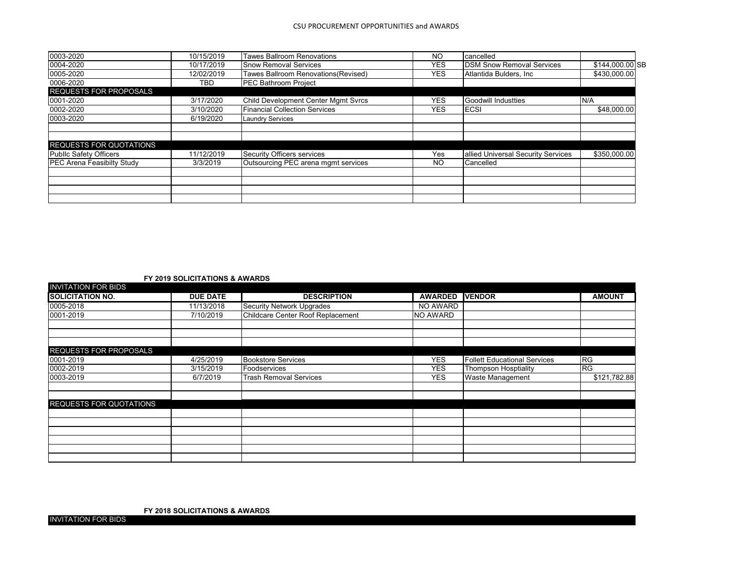| 0003-2020                         | 10/15/2019 | <b>Tawes Ballroom Renovations</b>          | NO         | cancelled                          |                 |  |
|-----------------------------------|------------|--------------------------------------------|------------|------------------------------------|-----------------|--|
| 0004-2020                         | 10/17/2019 | <b>Snow Removal Services</b>               | <b>YES</b> | <b>DSM Snow Removal Services</b>   | \$144,000.00 SB |  |
| 0005-2020                         | 12/02/2019 | Tawes Ballroom Renovations(Revised)        | YES.       | Atlantida Bulders, Inc.            | \$430,000.00    |  |
| 0006-2020                         | TBD.       | <b>PEC Bathroom Project</b>                |            |                                    |                 |  |
| <b>REQUESTS FOR PROPOSALS</b>     |            |                                            |            |                                    |                 |  |
| 0001-2020                         | 3/17/2020  | <b>Child Development Center Mgmt Svrcs</b> | <b>YES</b> | Goodwill Industties                | N/A             |  |
| 0002-2020                         | 3/10/2020  | <b>Financial Collection Services</b>       | <b>YES</b> | <b>ECSI</b>                        | \$48,000.00     |  |
| 0003-2020                         | 6/19/2020  | <b>Laundry Services</b>                    |            |                                    |                 |  |
|                                   |            |                                            |            |                                    |                 |  |
|                                   |            |                                            |            |                                    |                 |  |
| <b>REQUESTS FOR QUOTATIONS</b>    |            |                                            |            |                                    |                 |  |
| Public Safety Officers            | 11/12/2019 | Security Officers services                 | Yes        | allied Universal Security Services | \$350,000.00    |  |
| <b>PEC Arena Feasibilty Study</b> | 3/3/2019   | Outsourcing PEC arena mgmt services        | NO         | Cancelled                          |                 |  |
|                                   |            |                                            |            |                                    |                 |  |
|                                   |            |                                            |            |                                    |                 |  |
|                                   |            |                                            |            |                                    |                 |  |
|                                   |            |                                            |            |                                    |                 |  |

**FY 2019 SOLICITATIONS & AWARDS**

| INVITATION FOR BIDS            |                 |                                   |                 |                                     |               |
|--------------------------------|-----------------|-----------------------------------|-----------------|-------------------------------------|---------------|
| <b>SOLICITATION NO.</b>        | <b>DUE DATE</b> | <b>DESCRIPTION</b>                | <b>AWARDED</b>  | <b>VENDOR</b>                       | <b>AMOUNT</b> |
| 0005-2018                      | 11/13/2018      | Security Network Upgrades         | NO AWARD        |                                     |               |
| 0001-2019                      | 7/10/2019       | Childcare Center Roof Replacement | <b>NO AWARD</b> |                                     |               |
|                                |                 |                                   |                 |                                     |               |
|                                |                 |                                   |                 |                                     |               |
| <b>REQUESTS FOR PROPOSALS</b>  |                 |                                   |                 |                                     |               |
| 0001-2019                      | 4/25/2019       | <b>Bookstore Services</b>         | <b>YES</b>      | <b>Follett Educational Services</b> | <b>RG</b>     |
| 0002-2019                      | 3/15/2019       | Foodservices                      | <b>YES</b>      | <b>Thompson Hosptiality</b>         | <b>RG</b>     |
| 0003-2019                      | 6/7/2019        | <b>Trash Removal Services</b>     | <b>YES</b>      | <b>Waste Management</b>             | \$121,782.88  |
|                                |                 |                                   |                 |                                     |               |
|                                |                 |                                   |                 |                                     |               |
| <b>REQUESTS FOR QUOTATIONS</b> |                 |                                   |                 |                                     |               |
|                                |                 |                                   |                 |                                     |               |
|                                |                 |                                   |                 |                                     |               |
|                                |                 |                                   |                 |                                     |               |
|                                |                 |                                   |                 |                                     |               |
|                                |                 |                                   |                 |                                     |               |
|                                |                 |                                   |                 |                                     |               |

**FY 2018 SOLICITATIONS & AWARDS**

INVITATION FOR BIDS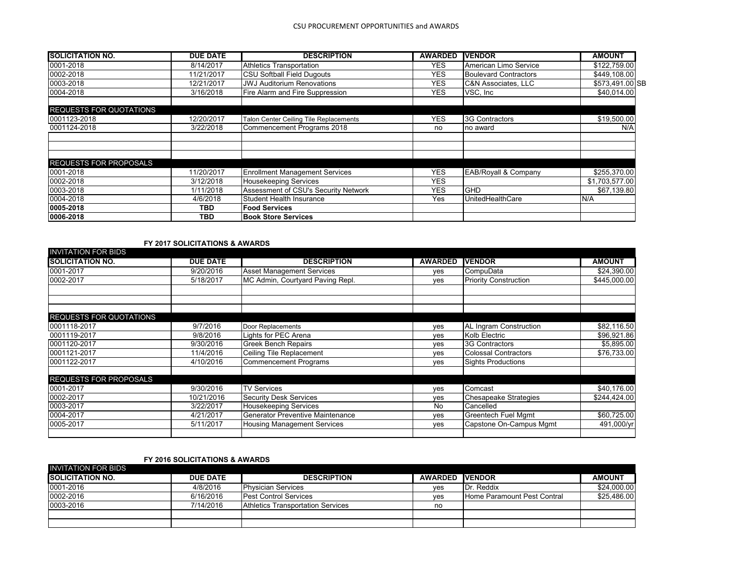| <b>SOLICITATION NO.</b>        | <b>DUE DATE</b> | <b>DESCRIPTION</b>                     | <b>AWARDED</b> | <b>IVENDOR</b>                  | <b>AMOUNT</b>   |
|--------------------------------|-----------------|----------------------------------------|----------------|---------------------------------|-----------------|
| 0001-2018                      | 8/14/2017       | Athletics Transportation               | YES.           | American Limo Service           | \$122,759.00    |
| 0002-2018                      | 11/21/2017      | <b>CSU Softball Field Dugouts</b>      | <b>YES</b>     | <b>Boulevard Contractors</b>    | \$449,108.00    |
| 0003-2018                      | 12/21/2017      | <b>JWJ Auditorium Renovations</b>      | <b>YES</b>     | <b>C&amp;N Associates, LLC</b>  | \$573.491.00 SB |
| 0004-2018                      | 3/16/2018       | Fire Alarm and Fire Suppression        | YES.           | VSC, Inc.                       | \$40,014.00     |
| <b>REQUESTS FOR QUOTATIONS</b> |                 |                                        |                |                                 |                 |
| 0001123-2018                   | 12/20/2017      | Talon Center Ceiling Tile Replacements | <b>YES</b>     | 3G Contractors                  | \$19,500.00     |
| 0001124-2018                   | 3/22/2018       | Commencement Programs 2018             | no             | no award                        | N/A             |
|                                |                 |                                        |                |                                 |                 |
|                                |                 |                                        |                |                                 |                 |
| <b>REQUESTS FOR PROPOSALS</b>  |                 |                                        |                |                                 |                 |
| 0001-2018                      | 11/20/2017      | <b>Enrollment Management Services</b>  | <b>YES</b>     | <b>EAB/Royall &amp; Company</b> | \$255,370.00    |
| 0002-2018                      | 3/12/2018       | <b>Housekeeping Services</b>           | <b>YES</b>     |                                 | \$1,703,577.00  |
| 0003-2018                      | 1/11/2018       | Assessment of CSU's Security Network   | <b>YES</b>     | <b>GHD</b>                      | \$67,139.80     |
| 0004-2018                      | 4/6/2018        | Student Health Insurance               | Yes            | UnitedHealthCare                | N/A             |
| 0005-2018                      | <b>TBD</b>      | <b>Food Services</b>                   |                |                                 |                 |
| 0006-2018                      | <b>TBD</b>      | <b>Book Store Services</b>             |                |                                 |                 |

# **FY 2017 SOLICITATIONS & AWARDS**

| <b>SOLICITATION NO.</b>        | <b>DUE DATE</b> | <b>DESCRIPTION</b>                 | <b>AWARDED</b> | <b>VENDOR</b>                 | <b>AMOUNT</b> |
|--------------------------------|-----------------|------------------------------------|----------------|-------------------------------|---------------|
| 0001-2017                      | 9/20/2016       | <b>Asset Management Services</b>   | yes            | CompuData                     | \$24,390.00   |
| 0002-2017                      | 5/18/2017       | MC Admin, Courtyard Paving Repl.   | yes            | <b>Priority Construction</b>  | \$445,000.00  |
|                                |                 |                                    |                |                               |               |
| <b>REQUESTS FOR QUOTATIONS</b> |                 |                                    |                |                               |               |
| 0001118-2017                   | 9/7/2016        | Door Replacements                  | yes            | <b>AL Ingram Construction</b> | \$82,116.50   |
| 0001119-2017                   | 9/8/2016        | Lights for PEC Arena               | yes            | Kolb Electric                 | \$96,921.86   |
| 0001120-2017                   | 9/30/2016       | <b>Greek Bench Repairs</b>         | yes            | <b>3G Contractors</b>         | \$5,895.00    |
| 0001121-2017                   | 11/4/2016       | Ceiling Tile Replacement           | yes            | <b>Colossal Contractors</b>   | \$76,733.00   |
| 0001122-2017                   | 4/10/2016       | <b>Commencement Programs</b>       | ves            | <b>Sights Productions</b>     |               |
| <b>REQUESTS FOR PROPOSALS</b>  |                 |                                    |                |                               |               |
| 0001-2017                      | 9/30/2016       | <b>TV Services</b>                 | yes            | Comcast                       | \$40,176.00   |
| 0002-2017                      | 10/21/2016      | <b>Security Desk Services</b>      | yes            | <b>Chesapeake Strategies</b>  | \$244,424.00  |
| 0003-2017                      | 3/22/2017       | <b>Housekeeping Services</b>       | No             | Cancelled                     |               |
| 0004-2017                      | 4/21/2017       | Generator Preventive Maintenance   | yes            | <b>Greentech Fuel Mgmt</b>    | \$60,725.00   |
| 0005-2017                      | 5/11/2017       | <b>Housing Management Services</b> | yes            | Capstone On-Campus Mgmt       | 491,000/yr    |

### **FY 2016 SOLICITATIONS & AWARDS**

| INVITATION FOR BIDS      |                 |                                   |                |                             |               |
|--------------------------|-----------------|-----------------------------------|----------------|-----------------------------|---------------|
| <b>ISOLICITATION NO.</b> | <b>DUE DATE</b> | <b>DESCRIPTION</b>                | <b>AWARDED</b> | <b>IVENDOR</b>              | <b>AMOUNT</b> |
| 0001-2016                | 4/8/2016        | <b>Physician Services</b>         | ves            | Dr. Reddix                  | \$24,000.00   |
| 0002-2016                | 6/16/2016       | <b>Pest Control Services</b>      | ves            | Home Paramount Pest Contral | \$25,486.00   |
| 0003-2016                | 7/14/2016       | Athletics Transportation Services | no             |                             |               |
|                          |                 |                                   |                |                             |               |
|                          |                 |                                   |                |                             |               |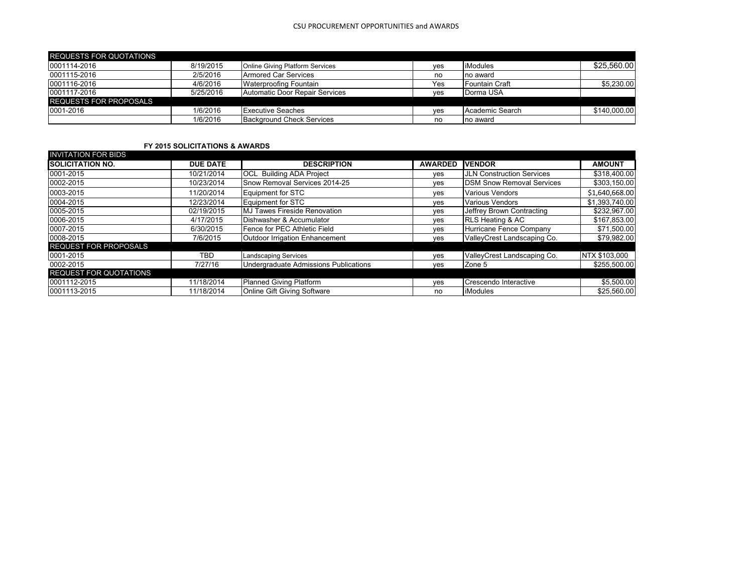#### CSU PROCUREMENT OPPORTUNITIES and AWARDS

| <b>REQUESTS FOR QUOTATIONS</b> |           |                                  |     |                 |              |
|--------------------------------|-----------|----------------------------------|-----|-----------------|--------------|
| 0001114-2016                   | 8/19/2015 | Online Giving Platform Services  | ves | <b>iModules</b> | \$25,560.00  |
| 0001115-2016                   | 2/5/2016  | <b>Armored Car Services</b>      | no  | no award        |              |
| 0001116-2016                   | 4/6/2016  | <b>Waterproofing Fountain</b>    | Yes | Fountain Craft  | \$5,230.00   |
| 0001117-2016                   | 5/25/2016 | Automatic Door Repair Services   | ves | Dorma USA       |              |
| <b>REQUESTS FOR PROPOSALS</b>  |           |                                  |     |                 |              |
| 0001-2016                      | 1/6/2016  | <b>Executive Seaches</b>         | ves | Academic Search | \$140,000.00 |
|                                | 1/6/2016  | <b>Background Check Services</b> | no  | no award        |              |

# **FY 2015 SOLICITATIONS & AWARDS**

| <b>INVITATION FOR BIDS</b>    |                 |                                       |                |                                  |                |
|-------------------------------|-----------------|---------------------------------------|----------------|----------------------------------|----------------|
| <b>ISOLICITATION NO.</b>      | <b>DUE DATE</b> | <b>DESCRIPTION</b>                    | <b>AWARDED</b> | <b>IVENDOR</b>                   | <b>AMOUNT</b>  |
| 0001-2015                     | 10/21/2014      | <b>OCL</b> Building ADA Project       | yes            | <b>JLN Construction Services</b> | \$318,400.00   |
| 0002-2015                     | 10/23/2014      | Snow Removal Services 2014-25         | yes            | <b>DSM Snow Removal Services</b> | \$303,150.00   |
| 0003-2015                     | 11/20/2014      | Equipment for STC                     | yes            | <b>Various Vendors</b>           | \$1,640,668.00 |
| 0004-2015                     | 12/23/2014      | Equipment for STC                     | ves            | <b>Various Vendors</b>           | \$1,393,740.00 |
| 0005-2015                     | 02/19/2015      | MJ Tawes Fireside Renovation          | ves            | Jeffrey Brown Contracting        | \$232,967.00   |
| 0006-2015                     | 4/17/2015       | Dishwasher & Accumulator              | ves            | <b>RLS Heating &amp; AC</b>      | \$167,853.00   |
| 0007-2015                     | 6/30/2015       | Fence for PEC Athletic Field          | ves            | Hurricane Fence Company          | \$71,500.00    |
| 0008-2015                     | 7/6/2015        | Outdoor Irrigation Enhancement        | yes            | ValleyCrest Landscaping Co.      | \$79,982.00    |
| <b>REQUEST FOR PROPOSALS</b>  |                 |                                       |                |                                  |                |
| 0001-2015                     | TBD             | <b>Landscaping Services</b>           | yes            | ValleyCrest Landscaping Co.      | NTX \$103,000  |
| 0002-2015                     | 7/27/16         | Undergraduate Admissions Publications | yes            | Zone 5                           | \$255,500.00   |
| <b>REQUEST FOR QUOTATIONS</b> |                 |                                       |                |                                  |                |
| 0001112-2015                  | 11/18/2014      | Planned Giving Platform               | yes            | Crescendo Interactive            | \$5,500.00     |
| 0001113-2015                  | 11/18/2014      | Online Gift Giving Software           | no             | <b>iModules</b>                  | \$25,560.00    |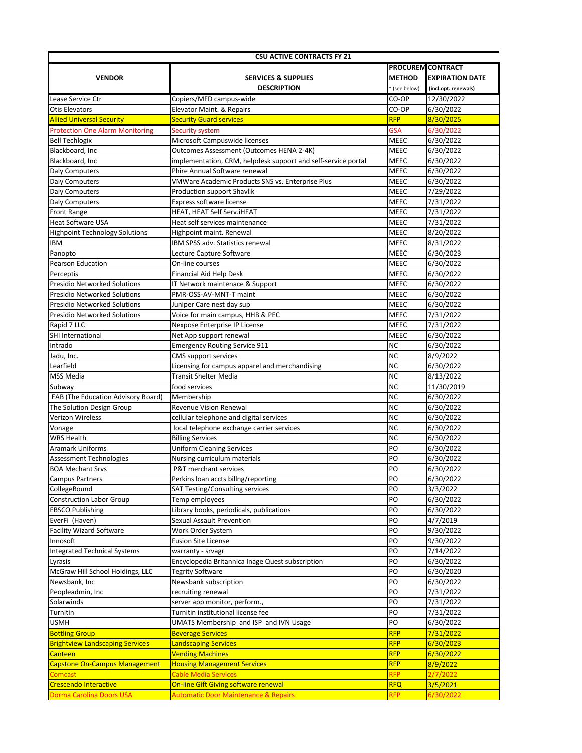| <b>CSU ACTIVE CONTRACTS FY 21</b>      |                                                               |                            |                          |  |  |  |  |
|----------------------------------------|---------------------------------------------------------------|----------------------------|--------------------------|--|--|--|--|
|                                        |                                                               |                            | <b>PROCUREM CONTRACT</b> |  |  |  |  |
| <b>VENDOR</b>                          | <b>SERVICES &amp; SUPPLIES</b>                                | <b>METHOD</b>              | <b>EXPIRATION DATE</b>   |  |  |  |  |
|                                        | <b>DESCRIPTION</b>                                            | (see below)                | (incl.opt. renewals)     |  |  |  |  |
| Lease Service Ctr                      | Copiers/MFD campus-wide                                       | CO-OP                      | 12/30/2022               |  |  |  |  |
| <b>Otis Elevators</b>                  | Elevator Maint. & Repairs                                     | CO-OP                      | 6/30/2022                |  |  |  |  |
| <b>Allied Universal Security</b>       | <b>Security Guard services</b>                                | <b>RFP</b>                 | 8/30/2025                |  |  |  |  |
| <b>Protection One Alarm Monitoring</b> | <b>Security system</b>                                        | <b>GSA</b>                 | 6/30/2022                |  |  |  |  |
| <b>Bell Techlogix</b>                  | Microsoft Campuswide licenses                                 | <b>MEEC</b>                | 6/30/2022                |  |  |  |  |
| Blackboard, Inc.                       | Outcomes Assessment (Outcomes HENA 2-4K)                      | <b>MEEC</b>                | 6/30/2022                |  |  |  |  |
| Blackboard, Inc                        | implementation, CRM, helpdesk support and self-service portal | <b>MEEC</b>                | 6/30/2022                |  |  |  |  |
| <b>Daly Computers</b>                  | Phire Annual Software renewal                                 | <b>MEEC</b>                | 6/30/2022                |  |  |  |  |
| Daly Computers                         | VMWare Academic Products SNS vs. Enterprise Plus              | <b>MEEC</b>                | 6/30/2022                |  |  |  |  |
| Daly Computers                         | Production support Shavlik                                    | <b>MEEC</b>                | 7/29/2022                |  |  |  |  |
| Daly Computers                         | Express software license                                      | <b>MEEC</b>                | 7/31/2022                |  |  |  |  |
| <b>Front Range</b>                     | HEAT, HEAT Self Serv.iHEAT                                    | <b>MEEC</b>                | 7/31/2022                |  |  |  |  |
| <b>Heat Software USA</b>               | Heat self services maintenance                                | MEEC                       | 7/31/2022                |  |  |  |  |
| <b>Highpoint Technology Solutions</b>  | Highpoint maint. Renewal                                      | <b>MEEC</b>                | 8/20/2022                |  |  |  |  |
|                                        | IBM SPSS adv. Statistics renewal                              | <b>MEEC</b>                |                          |  |  |  |  |
| <b>IBM</b><br>Panopto                  |                                                               | <b>MEEC</b>                | 8/31/2022<br>6/30/2023   |  |  |  |  |
| <b>Pearson Education</b>               | Lecture Capture Software<br>On-line courses                   |                            | 6/30/2022                |  |  |  |  |
| Perceptis                              | Financial Aid Help Desk                                       | <b>MEEC</b><br><b>MEEC</b> | 6/30/2022                |  |  |  |  |
| <b>Presidio Networked Solutions</b>    |                                                               | <b>MEEC</b>                |                          |  |  |  |  |
| <b>Presidio Networked Solutions</b>    | IT Network maintenace & Support<br>PMR-OSS-AV-MNT-T maint     | <b>MEEC</b>                | 6/30/2022<br>6/30/2022   |  |  |  |  |
|                                        |                                                               |                            |                          |  |  |  |  |
| <b>Presidio Networked Solutions</b>    | Juniper Care nest day sup                                     | <b>MEEC</b>                | 6/30/2022                |  |  |  |  |
| <b>Presidio Networked Solutions</b>    | Voice for main campus, HHB & PEC                              | <b>MEEC</b>                | 7/31/2022                |  |  |  |  |
| Rapid 7 LLC                            | Nexpose Enterprise IP License                                 | <b>MEEC</b>                | 7/31/2022                |  |  |  |  |
| <b>SHI International</b>               | Net App support renewal                                       | <b>MEEC</b>                | 6/30/2022                |  |  |  |  |
| Intrado                                | <b>Emergency Routing Service 911</b>                          | <b>NC</b>                  | 6/30/2022                |  |  |  |  |
| Jadu, Inc.                             | CMS support services                                          | <b>NC</b>                  | 8/9/2022                 |  |  |  |  |
| Learfield                              | Licensing for campus apparel and merchandising                | <b>NC</b>                  | 6/30/2022                |  |  |  |  |
| MSS Media                              | <b>Transit Shelter Media</b>                                  | <b>NC</b>                  | 8/13/2022                |  |  |  |  |
| Subway                                 | food services                                                 | <b>NC</b>                  | 11/30/2019               |  |  |  |  |
| EAB (The Education Advisory Board)     | Membership                                                    | <b>NC</b>                  | 6/30/2022                |  |  |  |  |
| The Solution Design Group              | Revenue Vision Renewal                                        | <b>NC</b>                  | 6/30/2022                |  |  |  |  |
| Verizon Wireless                       | cellular telephone and digital services                       | <b>NC</b>                  | 6/30/2022                |  |  |  |  |
| Vonage                                 | local telephone exchange carrier services                     | <b>NC</b>                  | 6/30/2022                |  |  |  |  |
| <b>WRS Health</b>                      | <b>Billing Services</b>                                       | <b>NC</b>                  | 6/30/2022                |  |  |  |  |
| <b>Aramark Uniforms</b>                | <b>Uniform Cleaning Services</b>                              | PO                         | 6/30/2022                |  |  |  |  |
| <b>Assessment Technologies</b>         | Nursing curriculum materials                                  | PO                         | 6/30/2022                |  |  |  |  |
| <b>BOA Mechant Srvs</b>                | P&T merchant services                                         | PO                         | 6/30/2022                |  |  |  |  |
| <b>Campus Partners</b>                 | Perkins loan accts billng/reporting                           | PO                         | 6/30/2022                |  |  |  |  |
| CollegeBound                           | <b>SAT Testing/Consulting services</b>                        | PO                         | 3/3/2022                 |  |  |  |  |
| <b>Construction Labor Group</b>        | Temp employees                                                | PO                         | 6/30/2022                |  |  |  |  |
| <b>EBSCO Publishing</b>                | Library books, periodicals, publications                      | PO                         | 6/30/2022                |  |  |  |  |
| EverFi (Haven)                         | <b>Sexual Assault Prevention</b>                              | PO                         | 4/7/2019                 |  |  |  |  |
| <b>Facility Wizard Software</b>        | Work Order System                                             | PO                         | 9/30/2022                |  |  |  |  |
| Innosoft                               | <b>Fusion Site License</b>                                    | PO                         | 9/30/2022                |  |  |  |  |
| <b>Integrated Technical Systems</b>    | warranty - srvagr                                             | PO                         | 7/14/2022                |  |  |  |  |
| Lyrasis                                | Encyclopedia Britannica Inage Quest subscription              | PO                         | 6/30/2022                |  |  |  |  |
| McGraw Hill School Holdings, LLC       | <b>Tegrity Software</b>                                       | PO                         | 6/30/2020                |  |  |  |  |
| Newsbank, Inc                          | Newsbank subscription                                         | PO                         | 6/30/2022                |  |  |  |  |
| Peopleadmin, Inc                       | recruiting renewal                                            | PO                         | 7/31/2022                |  |  |  |  |
| Solarwinds                             | server app monitor, perform.,                                 | PO                         | 7/31/2022                |  |  |  |  |
| Turnitin                               | Turnitin institutional license fee                            | PO                         | 7/31/2022                |  |  |  |  |
| USMH                                   | UMATS Membership and ISP and IVN Usage                        | PO                         | 6/30/2022                |  |  |  |  |
| <b>Bottling Group</b>                  | <b>Beverage Services</b>                                      | <b>RFP</b>                 | 7/31/2022                |  |  |  |  |
| <b>Brightview Landscaping Services</b> | <b>Landscaping Services</b>                                   | <b>RFP</b>                 | 6/30/2023                |  |  |  |  |
| <b>Canteen</b>                         | <b>Vending Machines</b>                                       | <b>RFP</b>                 | 6/30/2022                |  |  |  |  |
| <b>Capstone On-Campus Management</b>   | <b>Housing Management Services</b>                            | <b>RFP</b>                 | 8/9/2022                 |  |  |  |  |
| <b>Comcast</b>                         | <b>Cable Media Services</b>                                   | <b>RFP</b>                 | 2/7/2022                 |  |  |  |  |
| <b>Crescendo Interactive</b>           | <b>On-line Gift Giving software renewal</b>                   | <b>RFQ</b>                 | 3/5/2021                 |  |  |  |  |
| <b>Dorma Carolina Doors USA</b>        | <b>Automatic Door Maintenance &amp; Repairs</b>               | <b>RFP</b>                 | 6/30/2022                |  |  |  |  |